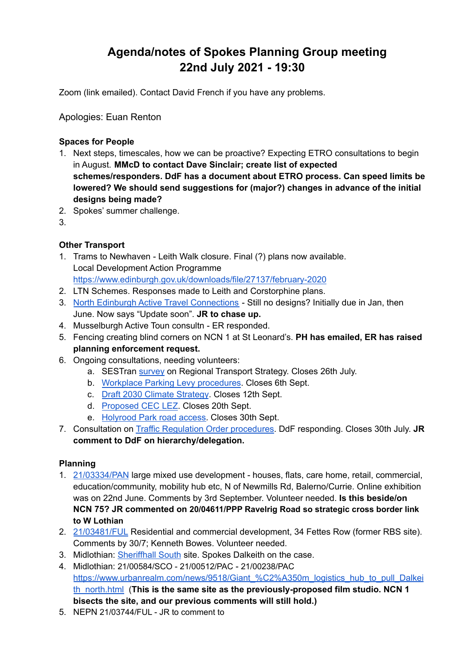# **Agenda/notes of Spokes Planning Group meeting 22nd July 2021 - 19:30**

Zoom (link emailed). Contact David French if you have any problems.

Apologies: Euan Renton

#### **Spaces for People**

- 1. Next steps, timescales, how we can be proactive? Expecting ETRO consultations to begin in August. **MMcD to contact Dave Sinclair; create list of expected schemes/responders. DdF has a document about ETRO process. Can speed limits be lowered? We should send suggestions for (major?) changes in advance of the initial designs being made?**
- 2. Spokes' summer challenge.
- 3.

# **Other Transport**

- 1. Trams to Newhaven Leith Walk closure. Final (?) plans now available. Local Development Action Programme <https://www.edinburgh.gov.uk/downloads/file/27137/february-2020>
- 2. LTN Schemes. Responses made to Leith and Corstorphine plans.
- 3. North Edinburgh Active Travel [Connections](https://neatconnections.commonplace.is/about) Still no designs? Initially due in Jan, then June. Now says "Update soon". **JR to chase up.**
- 4. Musselburgh Active Toun consultn ER responded.
- 5. Fencing creating blind corners on NCN 1 at St Leonard's. **PH has emailed, ER has raised planning enforcement request.**
- 6. Ongoing consultations, needing volunteers:
	- a. SESTran [survey](https://sestran.gov.uk/projects/a-new-regional-transport-strategy-sestran-2035/) on Regional Transport Strategy. Closes 26th July.
	- b. Workplace Parking Levy [procedures](https://www.transport.gov.scot/consultation/workplace-parking-licensing-consultation-on-regulations-and-guidance). Closes 6th Sept.
	- c. Draft 2030 Climate [Strategy](https://consultationhub.edinburgh.gov.uk/ce/2030-climate-strategy/). Closes 12th Sept.
	- d. [Proposed](https://consultationhub.edinburgh.gov.uk/sfc/low-emission-zone/) CEC LEZ. Closes 20th Sept.
	- e. [Holyrood](https://consultations.historicenvironment.scot/commercial-tourism/holyrood-park/) Park road access. Closes 30th Sept.
- 7. Consultation on Traffic Regulation Order [procedures.](https://www.transport.gov.scot/consultation/traffic-regulation-order-review-consultation/) DdF responding. Closes 30th July. **JR comment to DdF on hierarchy/delegation.**

# **Planning**

- 1. [21/03334/PAN](https://citydev-portal.edinburgh.gov.uk/idoxpa-web/simpleSearchResults.do?action=firstPage) large mixed use development houses, flats, care home, retail, commercial, education/community, mobility hub etc, N of Newmills Rd, Balerno/Currie. Online exhibition was on 22nd June. Comments by 3rd September. Volunteer needed. **Is this beside/on NCN 75? JR commented on 20/04611/PPP Ravelrig Road so strategic cross border link to W Lothian**
- 2. [21/03481/FUL](https://citydev-portal.edinburgh.gov.uk/idoxpa-web/applicationDetails.do?activeTab=documents&keyVal=QVEGXSEWJWY00) Residential and commercial development, 34 Fettes Row (former RBS site). Comments by 30/7; Kenneth Bowes. Volunteer needed.
- 3. Midlothian: [Sheriffhall](https://sheriffhallsouth.com/) South site. Spokes Dalkeith on the case.
- 4. Midlothian: 21/00584/SCO 21/00512/PAC 21/00238/PAC https://www.urbanrealm.com/news/9518/Giant %C2%A350m logistics hub to pull Dalkei [th\\_north.html](https://www.urbanrealm.com/news/9518/Giant_%C2%A350m_logistics_hub_to_pull_Dalkeith_north.html) (**This is the same site as the previously-proposed film studio. NCN 1 bisects the site, and our previous comments will still hold.)**
- 5. NEPN 21/03744/FUL JR to comment to